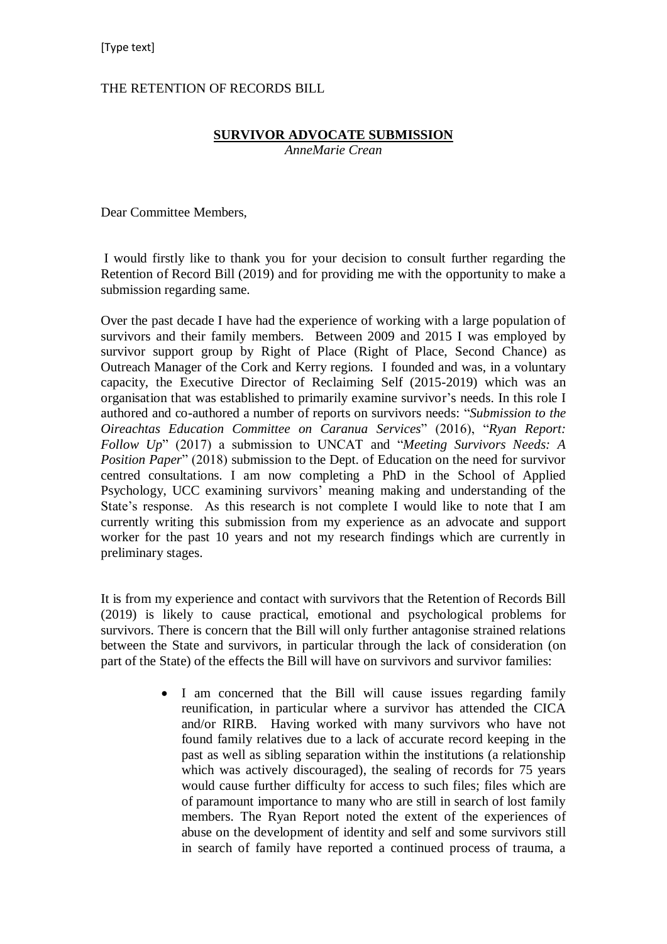## THE RETENTION OF RECORDS BILL

## **SURVIVOR ADVOCATE SUBMISSION**

*AnneMarie Crean* 

Dear Committee Members,

I would firstly like to thank you for your decision to consult further regarding the Retention of Record Bill (2019) and for providing me with the opportunity to make a submission regarding same.

Over the past decade I have had the experience of working with a large population of survivors and their family members. Between 2009 and 2015 I was employed by survivor support group by Right of Place (Right of Place, Second Chance) as Outreach Manager of the Cork and Kerry regions. I founded and was, in a voluntary capacity, the Executive Director of Reclaiming Self (2015-2019) which was an organisation that was established to primarily examine survivor's needs. In this role I authored and co-authored a number of reports on survivors needs: "*Submission to the Oireachtas Education Committee on Caranua Services*" (2016), "*Ryan Report: Follow Up*" (2017) a submission to UNCAT and "*Meeting Survivors Needs: A Position Paper*" (2018) submission to the Dept. of Education on the need for survivor centred consultations. I am now completing a PhD in the School of Applied Psychology, UCC examining survivors' meaning making and understanding of the State's response. As this research is not complete I would like to note that I am currently writing this submission from my experience as an advocate and support worker for the past 10 years and not my research findings which are currently in preliminary stages.

It is from my experience and contact with survivors that the Retention of Records Bill (2019) is likely to cause practical, emotional and psychological problems for survivors. There is concern that the Bill will only further antagonise strained relations between the State and survivors, in particular through the lack of consideration (on part of the State) of the effects the Bill will have on survivors and survivor families:

> • I am concerned that the Bill will cause issues regarding family reunification, in particular where a survivor has attended the CICA and/or RIRB. Having worked with many survivors who have not found family relatives due to a lack of accurate record keeping in the past as well as sibling separation within the institutions (a relationship which was actively discouraged), the sealing of records for 75 years would cause further difficulty for access to such files; files which are of paramount importance to many who are still in search of lost family members. The Ryan Report noted the extent of the experiences of abuse on the development of identity and self and some survivors still in search of family have reported a continued process of trauma, a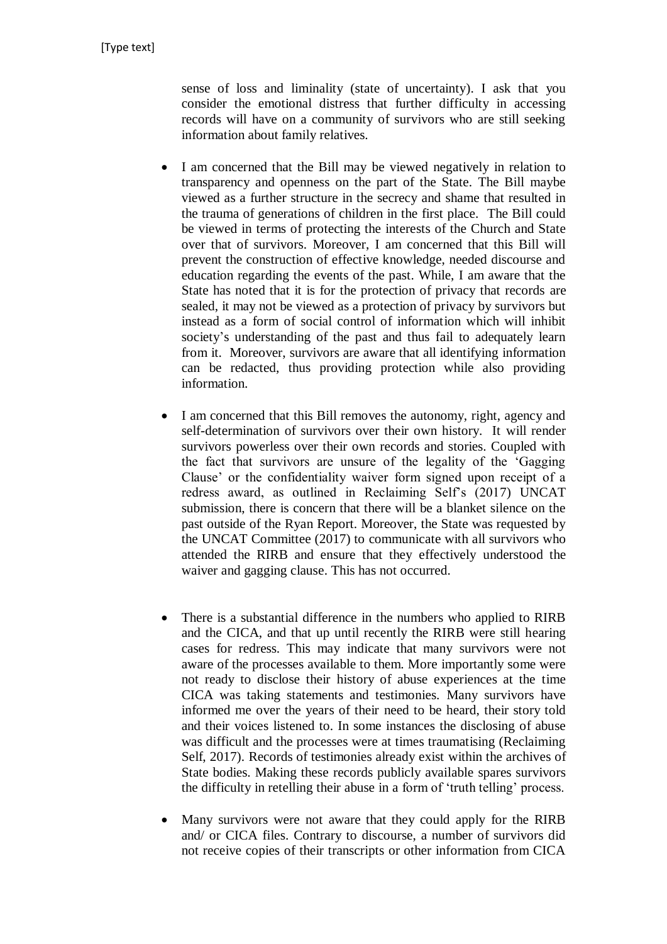sense of loss and liminality (state of uncertainty). I ask that you consider the emotional distress that further difficulty in accessing records will have on a community of survivors who are still seeking information about family relatives.

- I am concerned that the Bill may be viewed negatively in relation to transparency and openness on the part of the State. The Bill maybe viewed as a further structure in the secrecy and shame that resulted in the trauma of generations of children in the first place. The Bill could be viewed in terms of protecting the interests of the Church and State over that of survivors. Moreover, I am concerned that this Bill will prevent the construction of effective knowledge, needed discourse and education regarding the events of the past. While, I am aware that the State has noted that it is for the protection of privacy that records are sealed, it may not be viewed as a protection of privacy by survivors but instead as a form of social control of information which will inhibit society's understanding of the past and thus fail to adequately learn from it. Moreover, survivors are aware that all identifying information can be redacted, thus providing protection while also providing information.
- I am concerned that this Bill removes the autonomy, right, agency and self-determination of survivors over their own history. It will render survivors powerless over their own records and stories. Coupled with the fact that survivors are unsure of the legality of the 'Gagging Clause' or the confidentiality waiver form signed upon receipt of a redress award, as outlined in Reclaiming Self's (2017) UNCAT submission, there is concern that there will be a blanket silence on the past outside of the Ryan Report. Moreover, the State was requested by the UNCAT Committee (2017) to communicate with all survivors who attended the RIRB and ensure that they effectively understood the waiver and gagging clause. This has not occurred.
- There is a substantial difference in the numbers who applied to RIRB and the CICA, and that up until recently the RIRB were still hearing cases for redress. This may indicate that many survivors were not aware of the processes available to them. More importantly some were not ready to disclose their history of abuse experiences at the time CICA was taking statements and testimonies. Many survivors have informed me over the years of their need to be heard, their story told and their voices listened to. In some instances the disclosing of abuse was difficult and the processes were at times traumatising (Reclaiming Self, 2017). Records of testimonies already exist within the archives of State bodies. Making these records publicly available spares survivors the difficulty in retelling their abuse in a form of 'truth telling' process.
- Many survivors were not aware that they could apply for the RIRB and/ or CICA files. Contrary to discourse, a number of survivors did not receive copies of their transcripts or other information from CICA